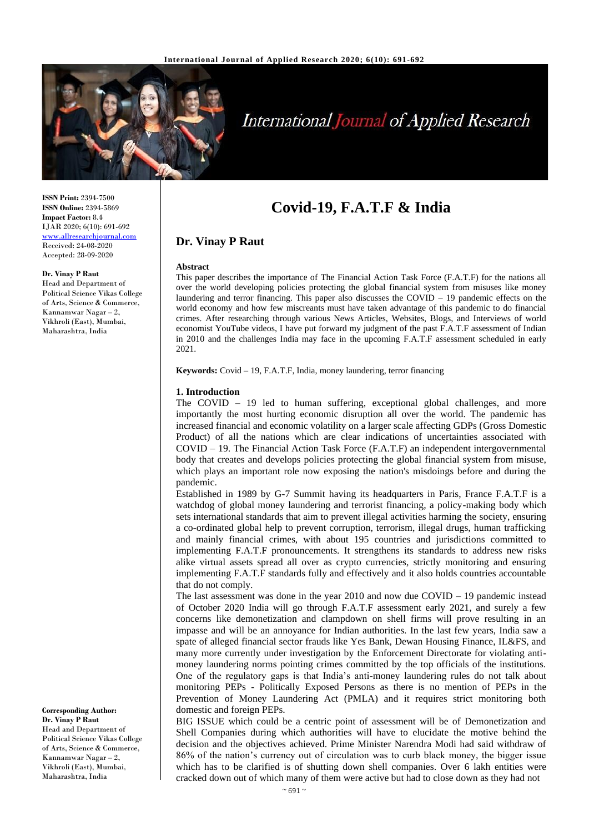

# **International Journal of Applied Research**

# **Covid-19, F.A.T.F & India**

## **Dr. Vinay P Raut**

#### **Abstract**

This paper describes the importance of The Financial Action Task Force (F.A.T.F) for the nations all over the world developing policies protecting the global financial system from misuses like money laundering and terror financing. This paper also discusses the COVID – 19 pandemic effects on the world economy and how few miscreants must have taken advantage of this pandemic to do financial crimes. After researching through various News Articles, Websites, Blogs, and Interviews of world economist YouTube videos, I have put forward my judgment of the past F.A.T.F assessment of Indian in 2010 and the challenges India may face in the upcoming F.A.T.F assessment scheduled in early 2021.

**Keywords:** Covid – 19, F.A.T.F, India, money laundering, terror financing

#### **1. Introduction**

The COVID – 19 led to human suffering, exceptional global challenges, and more importantly the most hurting economic disruption all over the world. The pandemic has increased financial and economic volatility on a larger scale affecting GDPs (Gross Domestic Product) of all the nations which are clear indications of uncertainties associated with COVID – 19. The Financial Action Task Force (F.A.T.F) an independent intergovernmental body that creates and develops policies protecting the global financial system from misuse, which plays an important role now exposing the nation's misdoings before and during the pandemic.

Established in 1989 by G-7 Summit having its headquarters in Paris, France F.A.T.F is a watchdog of global money laundering and terrorist financing, a policy-making body which sets international standards that aim to prevent illegal activities harming the society, ensuring a co-ordinated global help to prevent corruption, terrorism, illegal drugs, human trafficking and mainly financial crimes, with about 195 countries and jurisdictions committed to implementing F.A.T.F pronouncements. It strengthens its standards to address new risks alike virtual assets spread all over as crypto currencies, strictly monitoring and ensuring implementing F.A.T.F standards fully and effectively and it also holds countries accountable that do not comply.

The last assessment was done in the year 2010 and now due  $COVID - 19$  pandemic instead of October 2020 India will go through F.A.T.F assessment early 2021, and surely a few concerns like demonetization and clampdown on shell firms will prove resulting in an impasse and will be an annoyance for Indian authorities. In the last few years, India saw a spate of alleged financial sector frauds like Yes Bank, Dewan Housing Finance, IL&FS, and many more currently under investigation by the Enforcement Directorate for violating antimoney laundering norms pointing crimes committed by the top officials of the institutions. One of the regulatory gaps is that India's anti-money laundering rules do not talk about monitoring PEPs - Politically Exposed Persons as there is no mention of PEPs in the Prevention of Money Laundering Act (PMLA) and it requires strict monitoring both domestic and foreign PEPs.

BIG ISSUE which could be a centric point of assessment will be of Demonetization and Shell Companies during which authorities will have to elucidate the motive behind the decision and the objectives achieved. Prime Minister Narendra Modi had said withdraw of 86% of the nation's currency out of circulation was to curb black money, the bigger issue which has to be clarified is of shutting down shell companies. Over 6 lakh entities were cracked down out of which many of them were active but had to close down as they had not

**ISSN Print:** 2394-7500 **ISSN Online:** 2394-5869 **Impact Factor:** 8.4 IJAR 2020; 6(10): 691-692 [www.allresearchjournal.com](http://www.allresearchjournal.com/) Received: 24-08-2020 Accepted: 28-09-2020

#### **Dr. Vinay P Raut**

Head and Department of Political Science Vikas College of Arts, Science & Commerce, Kannamwar Nagar – 2, Vikhroli (East), Mumbai, Maharashtra, India

**Corresponding Author: Dr. Vinay P Raut** Head and Department of Political Science Vikas College of Arts, Science & Commerce, Kannamwar Nagar – 2, Vikhroli (East), Mumbai, Maharashtra, India